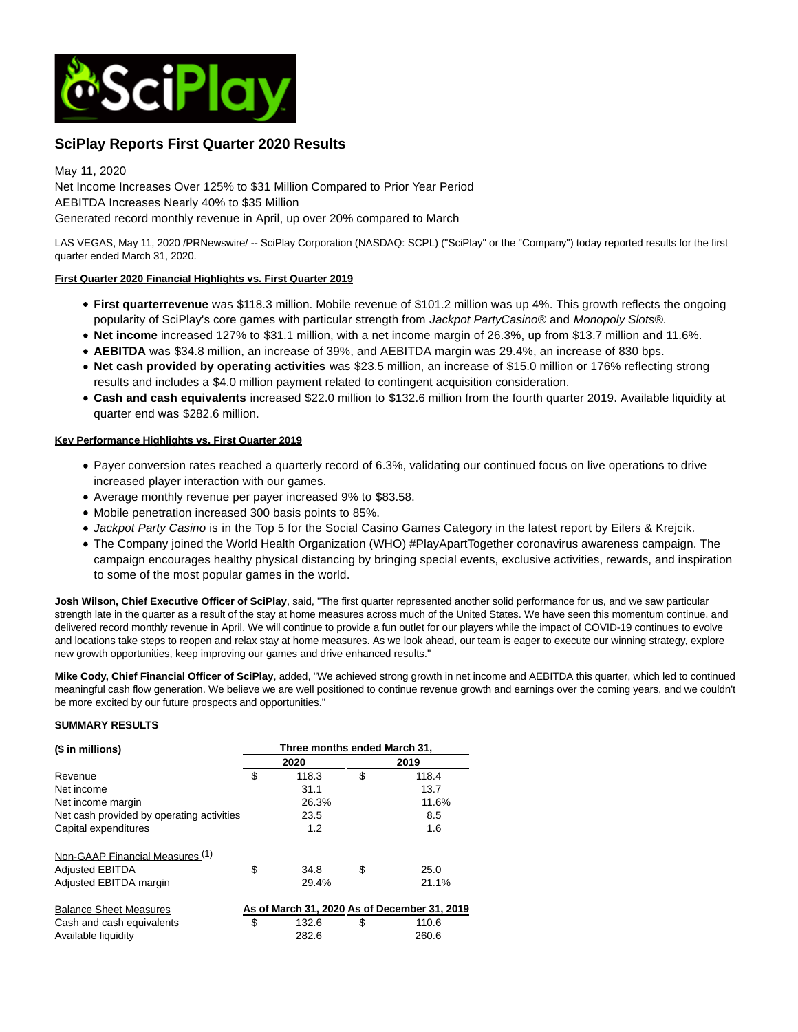

# **SciPlay Reports First Quarter 2020 Results**

May 11, 2020 Net Income Increases Over 125% to \$31 Million Compared to Prior Year Period AEBITDA Increases Nearly 40% to \$35 Million Generated record monthly revenue in April, up over 20% compared to March

LAS VEGAS, May 11, 2020 /PRNewswire/ -- SciPlay Corporation (NASDAQ: SCPL) ("SciPlay" or the "Company") today reported results for the first quarter ended March 31, 2020.

## **First Quarter 2020 Financial Highlights vs. First Quarter 2019**

- **First quarterrevenue** was \$118.3 million. Mobile revenue of \$101.2 million was up 4%. This growth reflects the ongoing popularity of SciPlay's core games with particular strength from Jackpot PartyCasino® and Monopoly Slots®.
- **Net income** increased 127% to \$31.1 million, with a net income margin of 26.3%, up from \$13.7 million and 11.6%.
- **AEBITDA** was \$34.8 million, an increase of 39%, and AEBITDA margin was 29.4%, an increase of 830 bps.
- **Net cash provided by operating activities** was \$23.5 million, an increase of \$15.0 million or 176% reflecting strong results and includes a \$4.0 million payment related to contingent acquisition consideration.
- **Cash and cash equivalents** increased \$22.0 million to \$132.6 million from the fourth quarter 2019. Available liquidity at quarter end was \$282.6 million.

## **Key Performance Highlights vs. First Quarter 2019**

- Payer conversion rates reached a quarterly record of 6.3%, validating our continued focus on live operations to drive increased player interaction with our games.
- Average monthly revenue per payer increased 9% to \$83.58.
- Mobile penetration increased 300 basis points to 85%.
- Jackpot Party Casino is in the Top 5 for the Social Casino Games Category in the latest report by Eilers & Krejcik.
- The Company joined the World Health Organization (WHO) #PlayApartTogether coronavirus awareness campaign. The campaign encourages healthy physical distancing by bringing special events, exclusive activities, rewards, and inspiration to some of the most popular games in the world.

**Josh Wilson, Chief Executive Officer of SciPlay**, said, "The first quarter represented another solid performance for us, and we saw particular strength late in the quarter as a result of the stay at home measures across much of the United States. We have seen this momentum continue, and delivered record monthly revenue in April. We will continue to provide a fun outlet for our players while the impact of COVID-19 continues to evolve and locations take steps to reopen and relax stay at home measures. As we look ahead, our team is eager to execute our winning strategy, explore new growth opportunities, keep improving our games and drive enhanced results."

**Mike Cody, Chief Financial Officer of SciPlay**, added, "We achieved strong growth in net income and AEBITDA this quarter, which led to continued meaningful cash flow generation. We believe we are well positioned to continue revenue growth and earnings over the coming years, and we couldn't be more excited by our future prospects and opportunities."

## **SUMMARY RESULTS**

| (\$ in millions)                          | Three months ended March 31, |       |    |                                              |
|-------------------------------------------|------------------------------|-------|----|----------------------------------------------|
|                                           | 2020                         |       |    | 2019                                         |
| Revenue                                   | \$                           | 118.3 | \$ | 118.4                                        |
| Net income                                |                              | 31.1  |    | 13.7                                         |
| Net income margin                         |                              | 26.3% |    | 11.6%                                        |
| Net cash provided by operating activities |                              | 23.5  |    | 8.5                                          |
| Capital expenditures                      |                              | 1.2   |    | 1.6                                          |
| Non-GAAP Financial Measures (1)           |                              |       |    |                                              |
| <b>Adjusted EBITDA</b>                    | \$                           | 34.8  | \$ | 25.0                                         |
| Adjusted EBITDA margin                    |                              | 29.4% |    | 21.1%                                        |
| <b>Balance Sheet Measures</b>             |                              |       |    | As of March 31, 2020 As of December 31, 2019 |
| Cash and cash equivalents                 | \$                           | 132.6 | \$ | 110.6                                        |
| Available liquidity                       |                              | 282.6 |    | 260.6                                        |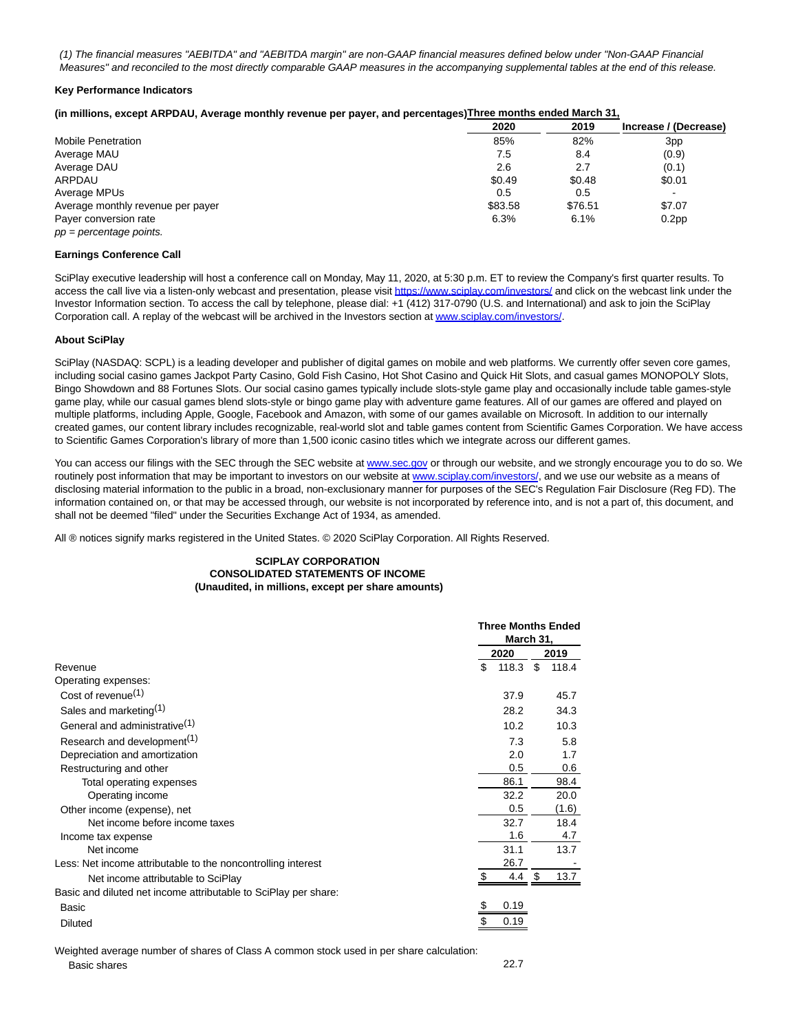(1) The financial measures "AEBITDA" and "AEBITDA margin" are non-GAAP financial measures defined below under "Non-GAAP Financial Measures" and reconciled to the most directly comparable GAAP measures in the accompanying supplemental tables at the end of this release.

#### **Key Performance Indicators**

#### **(in millions, except ARPDAU, Average monthly revenue per payer, and percentages)Three months ended March 31,**

|                                   | 2020    | 2019    | Increase / (Decrease)    |
|-----------------------------------|---------|---------|--------------------------|
| <b>Mobile Penetration</b>         | 85%     | 82%     | 3pp                      |
| Average MAU                       | 7.5     | 8.4     | (0.9)                    |
| Average DAU                       | 2.6     | 2.7     | (0.1)                    |
| ARPDAU                            | \$0.49  | \$0.48  | \$0.01                   |
| Average MPUs                      | 0.5     | 0.5     | $\overline{\phantom{a}}$ |
| Average monthly revenue per payer | \$83.58 | \$76.51 | \$7.07                   |
| Payer conversion rate             | 6.3%    | 6.1%    | 0.2 <sub>pp</sub>        |
| $pp = percentage points$ .        |         |         |                          |

#### **Earnings Conference Call**

SciPlay executive leadership will host a conference call on Monday, May 11, 2020, at 5:30 p.m. ET to review the Company's first quarter results. To access the call live via a listen-only webcast and presentation, please visi[t https://www.sciplay.com/investors/ a](https://c212.net/c/link/?t=0&l=en&o=2800392-1&h=3455743315&u=https%3A%2F%2Fwww.sciplay.com%2Finvestors%2F&a=https%3A%2F%2Fwww.sciplay.com%2Finvestors%2F)nd click on the webcast link under the Investor Information section. To access the call by telephone, please dial: +1 (412) 317-0790 (U.S. and International) and ask to join the SciPlay Corporation call. A replay of the webcast will be archived in the Investors section a[t www.sciplay.com/investors/.](https://c212.net/c/link/?t=0&l=en&o=2800392-1&h=954682234&u=https%3A%2F%2Fwww.sciplay.com%2Finvestors%2F&a=www.sciplay.com%2Finvestors%2F)

#### **About SciPlay**

SciPlay (NASDAQ: SCPL) is a leading developer and publisher of digital games on mobile and web platforms. We currently offer seven core games, including social casino games Jackpot Party Casino, Gold Fish Casino, Hot Shot Casino and Quick Hit Slots, and casual games MONOPOLY Slots, Bingo Showdown and 88 Fortunes Slots. Our social casino games typically include slots-style game play and occasionally include table games-style game play, while our casual games blend slots-style or bingo game play with adventure game features. All of our games are offered and played on multiple platforms, including Apple, Google, Facebook and Amazon, with some of our games available on Microsoft. In addition to our internally created games, our content library includes recognizable, real-world slot and table games content from Scientific Games Corporation. We have access to Scientific Games Corporation's library of more than 1,500 iconic casino titles which we integrate across our different games.

You can access our filings with the SEC through the SEC website at [www.sec.gov o](https://c212.net/c/link/?t=0&l=en&o=2800392-1&h=1852057399&u=http%3A%2F%2Fwww.sec.gov%2F&a=www.sec.gov)r through our website, and we strongly encourage you to do so. We routinely post information that may be important to investors on our website at [www.sciplay.com/investors/,](https://c212.net/c/link/?t=0&l=en&o=2800392-1&h=2461098044&u=http%3A%2F%2Fwww.sciplay.com%2Finvestors%2F&a=www.sciplay.com%2Finvestors%2F) and we use our website as a means of disclosing material information to the public in a broad, non-exclusionary manner for purposes of the SEC's Regulation Fair Disclosure (Reg FD). The information contained on, or that may be accessed through, our website is not incorporated by reference into, and is not a part of, this document, and shall not be deemed "filed" under the Securities Exchange Act of 1934, as amended.

All ® notices signify marks registered in the United States. © 2020 SciPlay Corporation. All Rights Reserved.

#### **SCIPLAY CORPORATION CONSOLIDATED STATEMENTS OF INCOME (Unaudited, in millions, except per share amounts)**

|                                                                 | <b>Three Months Ended</b><br>March 31, |     |       |
|-----------------------------------------------------------------|----------------------------------------|-----|-------|
|                                                                 | 2020                                   |     | 2019  |
| Revenue                                                         | \$<br>118.3                            | \$  | 118.4 |
| Operating expenses:                                             |                                        |     |       |
| Cost of revenue <sup>(1)</sup>                                  | 37.9                                   |     | 45.7  |
| Sales and marketing <sup>(1)</sup>                              | 28.2                                   |     | 34.3  |
| General and administrative <sup>(1)</sup>                       | 10.2                                   |     | 10.3  |
| Research and development <sup>(1)</sup>                         | 7.3                                    |     | 5.8   |
| Depreciation and amortization                                   | 2.0                                    |     | 1.7   |
| Restructuring and other                                         | 0.5                                    |     | 0.6   |
| Total operating expenses                                        | 86.1                                   |     | 98.4  |
| Operating income                                                | 32.2                                   |     | 20.0  |
| Other income (expense), net                                     | 0.5                                    |     | (1.6) |
| Net income before income taxes                                  | 32.7                                   |     | 18.4  |
| Income tax expense                                              | 1.6                                    |     | 4.7   |
| Net income                                                      | 31.1                                   |     | 13.7  |
| Less: Net income attributable to the noncontrolling interest    | 26.7                                   |     |       |
| Net income attributable to SciPlay                              | 4.4                                    | \$. | 13.7  |
| Basic and diluted net income attributable to SciPlay per share: |                                        |     |       |
| Basic                                                           | 0.19                                   |     |       |
| <b>Diluted</b>                                                  | 0.19                                   |     |       |

Weighted average number of shares of Class A common stock used in per share calculation: Basic shares 22.7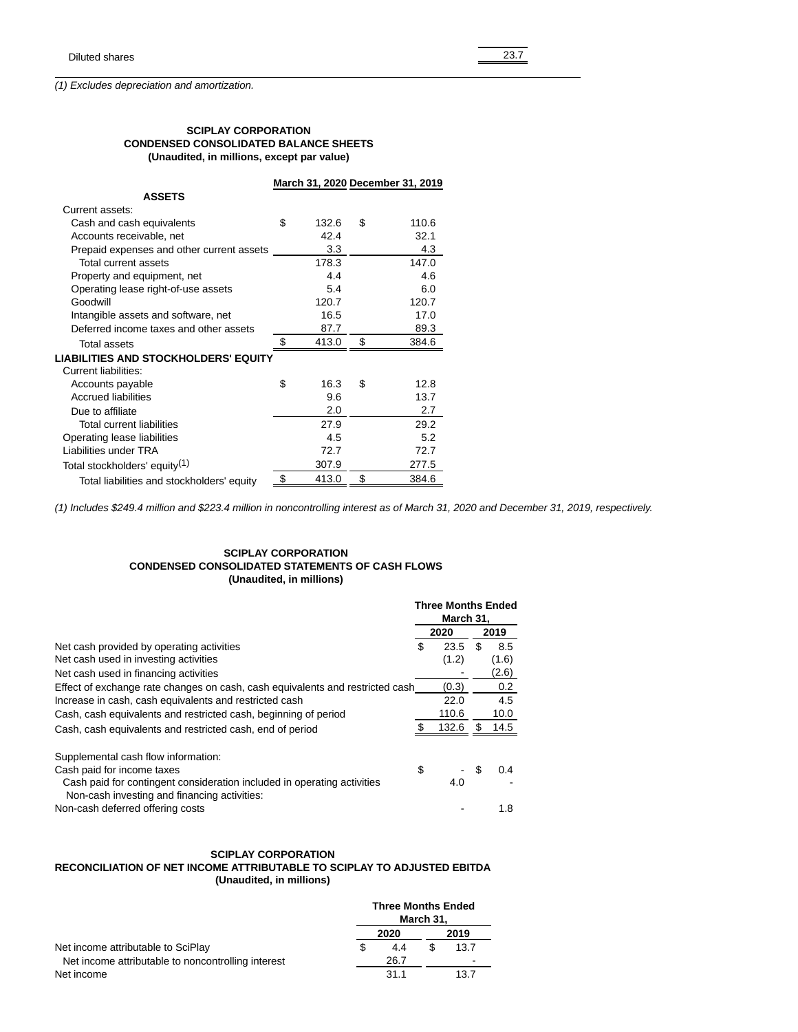(1) Excludes depreciation and amortization.

#### **SCIPLAY CORPORATION CONDENSED CONSOLIDATED BALANCE SHEETS (Unaudited, in millions, except par value)**

|                                             |             | March 31, 2020 December 31, 2019 |
|---------------------------------------------|-------------|----------------------------------|
| <b>ASSETS</b>                               |             |                                  |
| Current assets:                             |             |                                  |
| Cash and cash equivalents                   | \$<br>132.6 | \$<br>110.6                      |
| Accounts receivable, net                    | 42.4        | 32.1                             |
| Prepaid expenses and other current assets   | 3.3         | 4.3                              |
| Total current assets                        | 178.3       | 147.0                            |
| Property and equipment, net                 | 4.4         | 4.6                              |
| Operating lease right-of-use assets         | 5.4         | 6.0                              |
| Goodwill                                    | 120.7       | 120.7                            |
| Intangible assets and software, net         | 16.5        | 17.0                             |
| Deferred income taxes and other assets      | 87.7        | 89.3                             |
| <b>Total assets</b>                         | \$<br>413.0 | \$<br>384.6                      |
| <b>LIABILITIES AND STOCKHOLDERS' EQUITY</b> |             |                                  |
| <b>Current liabilities:</b>                 |             |                                  |
| Accounts payable                            | \$<br>16.3  | \$<br>12.8                       |
| <b>Accrued liabilities</b>                  | 9.6         | 13.7                             |
| Due to affiliate                            | 2.0         | 2.7                              |
| Total current liabilities                   | 27.9        | 29.2                             |
| Operating lease liabilities                 | 4.5         | 5.2                              |
| Liabilities under TRA                       | 72.7        | 72.7                             |
| Total stockholders' equity <sup>(1)</sup>   | 307.9       | 277.5                            |
| Total liabilities and stockholders' equity  | \$<br>413.0 | \$<br>384.6                      |

(1) Includes \$249.4 million and \$223.4 million in noncontrolling interest as of March 31, 2020 and December 31, 2019, respectively.

## **SCIPLAY CORPORATION CONDENSED CONSOLIDATED STATEMENTS OF CASH FLOWS (Unaudited, in millions)**

|                                                                               | <b>Three Months Ended</b><br>March 31. |       |    |       |
|-------------------------------------------------------------------------------|----------------------------------------|-------|----|-------|
|                                                                               | 2020                                   |       |    | 2019  |
| Net cash provided by operating activities                                     | \$.                                    | 23.5  | \$ | 8.5   |
| Net cash used in investing activities                                         |                                        | (1.2) |    | (1.6) |
| Net cash used in financing activities                                         |                                        |       |    | (2.6) |
| Effect of exchange rate changes on cash, cash equivalents and restricted cash |                                        | (0.3) |    | 0.2   |
| Increase in cash, cash equivalents and restricted cash                        |                                        | 22.0  |    | 4.5   |
| Cash, cash equivalents and restricted cash, beginning of period               |                                        | 110.6 |    | 10.0  |
| Cash, cash equivalents and restricted cash, end of period                     |                                        | 132.6 |    | 14.5  |
| Supplemental cash flow information:                                           |                                        |       |    |       |
| Cash paid for income taxes                                                    | \$                                     |       | \$ | 0.4   |
| Cash paid for contingent consideration included in operating activities       |                                        | 4.0   |    |       |
| Non-cash investing and financing activities:                                  |                                        |       |    |       |
| Non-cash deferred offering costs                                              |                                        |       |    | 1.8   |

## **SCIPLAY CORPORATION**

## **RECONCILIATION OF NET INCOME ATTRIBUTABLE TO SCIPLAY TO ADJUSTED EBITDA (Unaudited, in millions)**

|                                                    |      | <b>Three Months Ended</b> | March 31. |      |
|----------------------------------------------------|------|---------------------------|-----------|------|
|                                                    | 2020 |                           | 2019      |      |
| Net income attributable to SciPlay                 |      | 4.4                       |           | 13.7 |
| Net income attributable to noncontrolling interest |      | 26.7                      |           |      |
| Net income                                         |      | 31.1                      |           | 13.7 |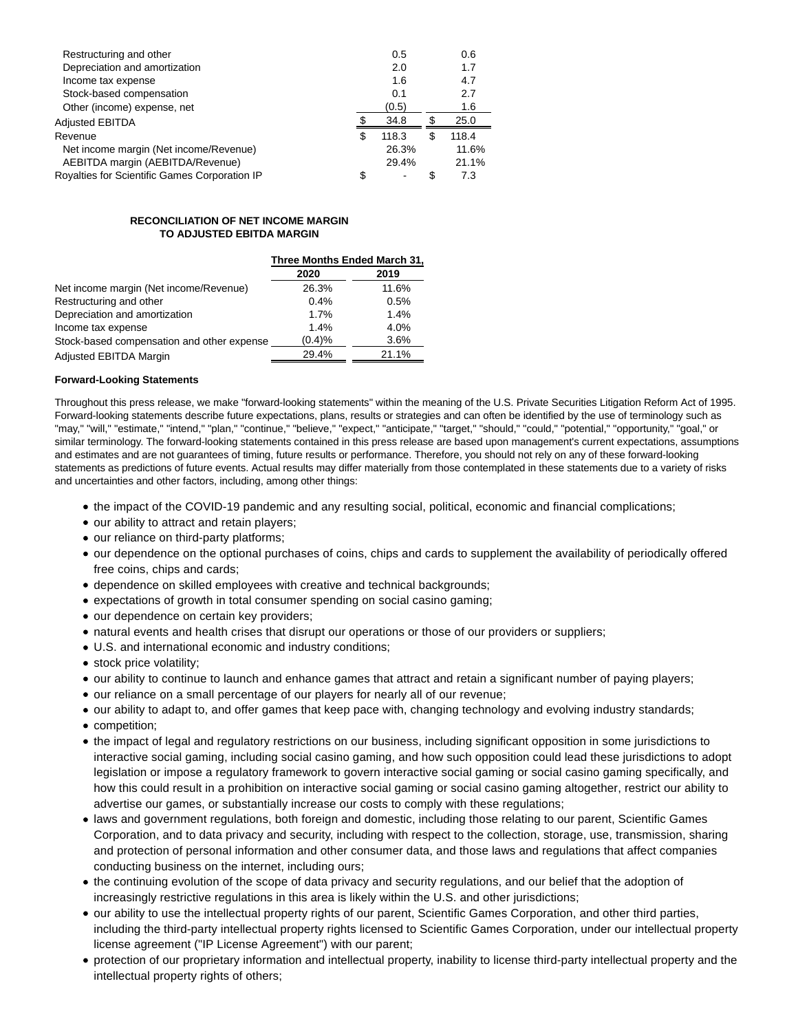| Restructuring and other                       |    | 0.5   |   | 0.6   |
|-----------------------------------------------|----|-------|---|-------|
| Depreciation and amortization                 |    | 2.0   |   | 1.7   |
| Income tax expense                            |    | 1.6   |   | 4.7   |
| Stock-based compensation                      |    | 0.1   |   | 2.7   |
| Other (income) expense, net                   |    | (0.5) |   | 1.6   |
| <b>Adjusted EBITDA</b>                        |    | 34.8  |   | 25.0  |
| Revenue                                       | \$ | 118.3 | S | 118.4 |
| Net income margin (Net income/Revenue)        |    | 26.3% |   | 11.6% |
| AEBITDA margin (AEBITDA/Revenue)              |    | 29.4% |   | 21.1% |
| Royalties for Scientific Games Corporation IP | S  | $\,$  | S | 7.3   |

#### **RECONCILIATION OF NET INCOME MARGIN TO ADJUSTED EBITDA MARGIN**

|                                            | Three Months Ended March 31, |       |  |  |
|--------------------------------------------|------------------------------|-------|--|--|
|                                            | 2020                         | 2019  |  |  |
| Net income margin (Net income/Revenue)     | 26.3%                        | 11.6% |  |  |
| Restructuring and other                    | 0.4%                         | 0.5%  |  |  |
| Depreciation and amortization              | 1.7%                         | 1.4%  |  |  |
| Income tax expense                         | 1.4%                         | 4.0%  |  |  |
| Stock-based compensation and other expense | (0.4)%                       | 3.6%  |  |  |
| Adjusted EBITDA Margin                     | 29.4%                        | 21.1% |  |  |

## **Forward-Looking Statements**

Throughout this press release, we make "forward-looking statements" within the meaning of the U.S. Private Securities Litigation Reform Act of 1995. Forward-looking statements describe future expectations, plans, results or strategies and can often be identified by the use of terminology such as "may," "will," "estimate," "intend," "plan," "continue," "believe," "expect," "anticipate," "target," "should," "could," "potential," "opportunity," "goal," or similar terminology. The forward-looking statements contained in this press release are based upon management's current expectations, assumptions and estimates and are not guarantees of timing, future results or performance. Therefore, you should not rely on any of these forward-looking statements as predictions of future events. Actual results may differ materially from those contemplated in these statements due to a variety of risks and uncertainties and other factors, including, among other things:

- the impact of the COVID-19 pandemic and any resulting social, political, economic and financial complications;
- our ability to attract and retain players;
- our reliance on third-party platforms;
- our dependence on the optional purchases of coins, chips and cards to supplement the availability of periodically offered free coins, chips and cards;
- dependence on skilled employees with creative and technical backgrounds;
- expectations of growth in total consumer spending on social casino gaming;
- our dependence on certain key providers;
- natural events and health crises that disrupt our operations or those of our providers or suppliers;
- U.S. and international economic and industry conditions;
- stock price volatility;
- our ability to continue to launch and enhance games that attract and retain a significant number of paying players;
- our reliance on a small percentage of our players for nearly all of our revenue;
- our ability to adapt to, and offer games that keep pace with, changing technology and evolving industry standards;
- competition;
- the impact of legal and regulatory restrictions on our business, including significant opposition in some jurisdictions to interactive social gaming, including social casino gaming, and how such opposition could lead these jurisdictions to adopt legislation or impose a regulatory framework to govern interactive social gaming or social casino gaming specifically, and how this could result in a prohibition on interactive social gaming or social casino gaming altogether, restrict our ability to advertise our games, or substantially increase our costs to comply with these regulations;
- laws and government regulations, both foreign and domestic, including those relating to our parent, Scientific Games Corporation, and to data privacy and security, including with respect to the collection, storage, use, transmission, sharing and protection of personal information and other consumer data, and those laws and regulations that affect companies conducting business on the internet, including ours;
- the continuing evolution of the scope of data privacy and security regulations, and our belief that the adoption of increasingly restrictive regulations in this area is likely within the U.S. and other jurisdictions;
- our ability to use the intellectual property rights of our parent, Scientific Games Corporation, and other third parties, including the third-party intellectual property rights licensed to Scientific Games Corporation, under our intellectual property license agreement ("IP License Agreement") with our parent;
- protection of our proprietary information and intellectual property, inability to license third-party intellectual property and the intellectual property rights of others;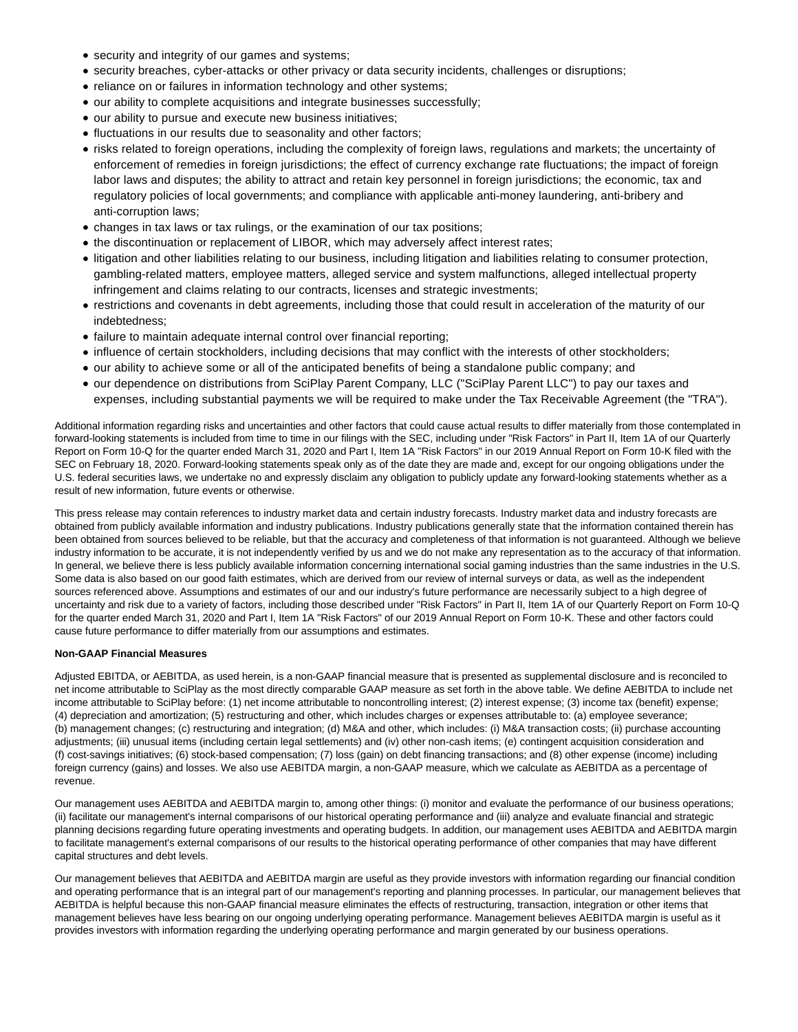- security and integrity of our games and systems;
- security breaches, cyber-attacks or other privacy or data security incidents, challenges or disruptions;
- reliance on or failures in information technology and other systems;
- our ability to complete acquisitions and integrate businesses successfully;
- our ability to pursue and execute new business initiatives;
- $\bullet$  fluctuations in our results due to seasonality and other factors;
- risks related to foreign operations, including the complexity of foreign laws, regulations and markets; the uncertainty of enforcement of remedies in foreign jurisdictions; the effect of currency exchange rate fluctuations; the impact of foreign labor laws and disputes; the ability to attract and retain key personnel in foreign jurisdictions; the economic, tax and regulatory policies of local governments; and compliance with applicable anti-money laundering, anti-bribery and anti-corruption laws;
- changes in tax laws or tax rulings, or the examination of our tax positions;
- the discontinuation or replacement of LIBOR, which may adversely affect interest rates;
- litigation and other liabilities relating to our business, including litigation and liabilities relating to consumer protection, gambling-related matters, employee matters, alleged service and system malfunctions, alleged intellectual property infringement and claims relating to our contracts, licenses and strategic investments;
- restrictions and covenants in debt agreements, including those that could result in acceleration of the maturity of our indebtedness;
- failure to maintain adequate internal control over financial reporting;
- influence of certain stockholders, including decisions that may conflict with the interests of other stockholders;
- our ability to achieve some or all of the anticipated benefits of being a standalone public company; and
- our dependence on distributions from SciPlay Parent Company, LLC ("SciPlay Parent LLC") to pay our taxes and expenses, including substantial payments we will be required to make under the Tax Receivable Agreement (the "TRA").

Additional information regarding risks and uncertainties and other factors that could cause actual results to differ materially from those contemplated in forward-looking statements is included from time to time in our filings with the SEC, including under "Risk Factors" in Part II, Item 1A of our Quarterly Report on Form 10-Q for the quarter ended March 31, 2020 and Part I, Item 1A "Risk Factors" in our 2019 Annual Report on Form 10-K filed with the SEC on February 18, 2020. Forward-looking statements speak only as of the date they are made and, except for our ongoing obligations under the U.S. federal securities laws, we undertake no and expressly disclaim any obligation to publicly update any forward-looking statements whether as a result of new information, future events or otherwise.

This press release may contain references to industry market data and certain industry forecasts. Industry market data and industry forecasts are obtained from publicly available information and industry publications. Industry publications generally state that the information contained therein has been obtained from sources believed to be reliable, but that the accuracy and completeness of that information is not guaranteed. Although we believe industry information to be accurate, it is not independently verified by us and we do not make any representation as to the accuracy of that information. In general, we believe there is less publicly available information concerning international social gaming industries than the same industries in the U.S. Some data is also based on our good faith estimates, which are derived from our review of internal surveys or data, as well as the independent sources referenced above. Assumptions and estimates of our and our industry's future performance are necessarily subject to a high degree of uncertainty and risk due to a variety of factors, including those described under "Risk Factors" in Part II, Item 1A of our Quarterly Report on Form 10-Q for the quarter ended March 31, 2020 and Part I, Item 1A "Risk Factors" of our 2019 Annual Report on Form 10-K. These and other factors could cause future performance to differ materially from our assumptions and estimates.

#### **Non-GAAP Financial Measures**

Adjusted EBITDA, or AEBITDA, as used herein, is a non-GAAP financial measure that is presented as supplemental disclosure and is reconciled to net income attributable to SciPlay as the most directly comparable GAAP measure as set forth in the above table. We define AEBITDA to include net income attributable to SciPlay before: (1) net income attributable to noncontrolling interest; (2) interest expense; (3) income tax (benefit) expense; (4) depreciation and amortization; (5) restructuring and other, which includes charges or expenses attributable to: (a) employee severance; (b) management changes; (c) restructuring and integration; (d) M&A and other, which includes: (i) M&A transaction costs; (ii) purchase accounting adjustments; (iii) unusual items (including certain legal settlements) and (iv) other non-cash items; (e) contingent acquisition consideration and (f) cost-savings initiatives; (6) stock-based compensation; (7) loss (gain) on debt financing transactions; and (8) other expense (income) including foreign currency (gains) and losses. We also use AEBITDA margin, a non-GAAP measure, which we calculate as AEBITDA as a percentage of revenue.

Our management uses AEBITDA and AEBITDA margin to, among other things: (i) monitor and evaluate the performance of our business operations; (ii) facilitate our management's internal comparisons of our historical operating performance and (iii) analyze and evaluate financial and strategic planning decisions regarding future operating investments and operating budgets. In addition, our management uses AEBITDA and AEBITDA margin to facilitate management's external comparisons of our results to the historical operating performance of other companies that may have different capital structures and debt levels.

Our management believes that AEBITDA and AEBITDA margin are useful as they provide investors with information regarding our financial condition and operating performance that is an integral part of our management's reporting and planning processes. In particular, our management believes that AEBITDA is helpful because this non-GAAP financial measure eliminates the effects of restructuring, transaction, integration or other items that management believes have less bearing on our ongoing underlying operating performance. Management believes AEBITDA margin is useful as it provides investors with information regarding the underlying operating performance and margin generated by our business operations.